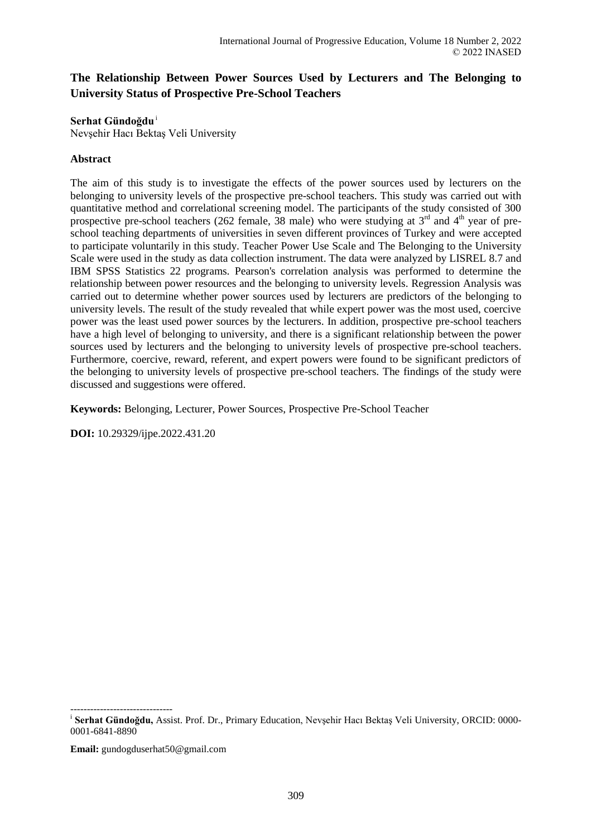# **The Relationship Between Power Sources Used by Lecturers and The Belonging to University Status of Prospective Pre-School Teachers**

# **Serhat Gündoğdu**<sup>i</sup>

Nevşehir Hacı Bektaş Veli University

# **Abstract**

The aim of this study is to investigate the effects of the power sources used by lecturers on the belonging to university levels of the prospective pre-school teachers. This study was carried out with quantitative method and correlational screening model. The participants of the study consisted of 300 prospective pre-school teachers (262 female, 38 male) who were studying at  $3<sup>rd</sup>$  and  $4<sup>th</sup>$  year of preschool teaching departments of universities in seven different provinces of Turkey and were accepted to participate voluntarily in this study. Teacher Power Use Scale and The Belonging to the University Scale were used in the study as data collection instrument. The data were analyzed by LISREL 8.7 and IBM SPSS Statistics 22 programs. Pearson's correlation analysis was performed to determine the relationship between power resources and the belonging to university levels. Regression Analysis was carried out to determine whether power sources used by lecturers are predictors of the belonging to university levels. The result of the study revealed that while expert power was the most used, coercive power was the least used power sources by the lecturers. In addition, prospective pre-school teachers have a high level of belonging to university, and there is a significant relationship between the power sources used by lecturers and the belonging to university levels of prospective pre-school teachers. Furthermore, coercive, reward, referent, and expert powers were found to be significant predictors of the belonging to university levels of prospective pre-school teachers. The findings of the study were discussed and suggestions were offered.

**Keywords:** Belonging, Lecturer, Power Sources, Prospective Pre-School Teacher

**DOI:** 10.29329/ijpe.2022.431.20

**Email:** gundogduserhat50@gmail.com

-------------------------------

i **Serhat Gündoğdu,** Assist. Prof. Dr., Primary Education, Nevşehir Hacı Bektaş Veli University, ORCID: 0000- 0001-6841-8890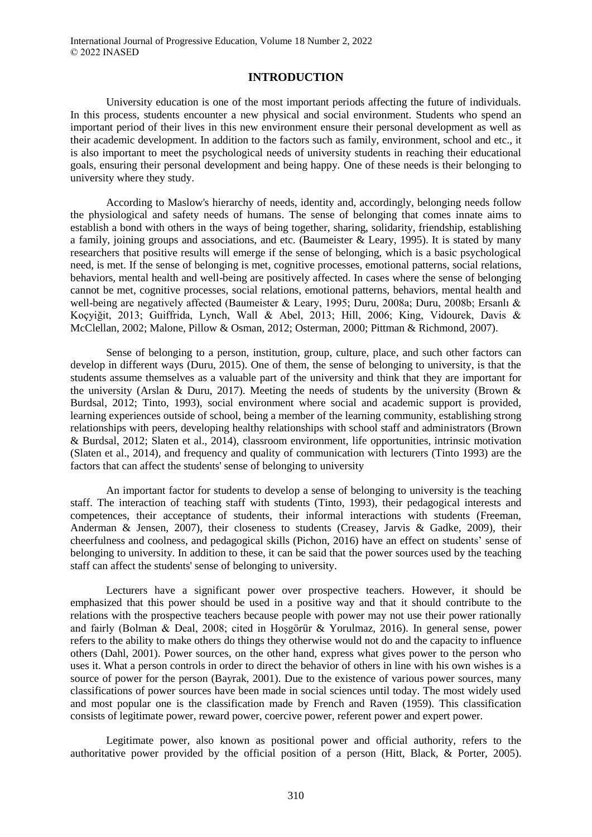## **INTRODUCTION**

University education is one of the most important periods affecting the future of individuals. In this process, students encounter a new physical and social environment. Students who spend an important period of their lives in this new environment ensure their personal development as well as their academic development. In addition to the factors such as family, environment, school and etc., it is also important to meet the psychological needs of university students in reaching their educational goals, ensuring their personal development and being happy. One of these needs is their belonging to university where they study.

According to Maslow's hierarchy of needs, identity and, accordingly, belonging needs follow the physiological and safety needs of humans. The sense of belonging that comes innate aims to establish a bond with others in the ways of being together, sharing, solidarity, friendship, establishing a family, joining groups and associations, and etc. (Baumeister  $\&$  Leary, 1995). It is stated by many researchers that positive results will emerge if the sense of belonging, which is a basic psychological need, is met. If the sense of belonging is met, cognitive processes, emotional patterns, social relations, behaviors, mental health and well-being are positively affected. In cases where the sense of belonging cannot be met, cognitive processes, social relations, emotional patterns, behaviors, mental health and well-being are negatively affected (Baumeister & Leary, 1995; Duru, 2008a; Duru, 2008b; Ersanlı & Koçyiğit, 2013; Guiffrida, Lynch, Wall & Abel, 2013; Hill, 2006; King, Vidourek, Davis & McClellan, 2002; Malone, Pillow & Osman, 2012; Osterman, 2000; Pittman & Richmond, 2007).

Sense of belonging to a person, institution, group, culture, place, and such other factors can develop in different ways (Duru, 2015). One of them, the sense of belonging to university, is that the students assume themselves as a valuable part of the university and think that they are important for the university (Arslan & Duru, 2017). Meeting the needs of students by the university (Brown & Burdsal, 2012; Tinto, 1993), social environment where social and academic support is provided, learning experiences outside of school, being a member of the learning community, establishing strong relationships with peers, developing healthy relationships with school staff and administrators (Brown & Burdsal, 2012; Slaten et al., 2014), classroom environment, life opportunities, intrinsic motivation (Slaten et al., 2014), and frequency and quality of communication with lecturers (Tinto 1993) are the factors that can affect the students' sense of belonging to university

An important factor for students to develop a sense of belonging to university is the teaching staff. The interaction of teaching staff with students (Tinto, 1993), their pedagogical interests and competences, their acceptance of students, their informal interactions with students (Freeman, Anderman & Jensen, 2007), their closeness to students (Creasey, Jarvis & Gadke, 2009), their cheerfulness and coolness, and pedagogical skills (Pichon, 2016) have an effect on students' sense of belonging to university. In addition to these, it can be said that the power sources used by the teaching staff can affect the students' sense of belonging to university.

Lecturers have a significant power over prospective teachers. However, it should be emphasized that this power should be used in a positive way and that it should contribute to the relations with the prospective teachers because people with power may not use their power rationally and fairly (Bolman & Deal, 2008; cited in Hoşgörür & Yorulmaz, 2016). In general sense, power refers to the ability to make others do things they otherwise would not do and the capacity to influence others (Dahl, 2001). Power sources, on the other hand, express what gives power to the person who uses it. What a person controls in order to direct the behavior of others in line with his own wishes is a source of power for the person (Bayrak, 2001). Due to the existence of various power sources, many classifications of power sources have been made in social sciences until today. The most widely used and most popular one is the classification made by French and Raven (1959). This classification consists of legitimate power, reward power, coercive power, referent power and expert power.

Legitimate power, also known as positional power and official authority, refers to the authoritative power provided by the official position of a person (Hitt, Black, & Porter, 2005).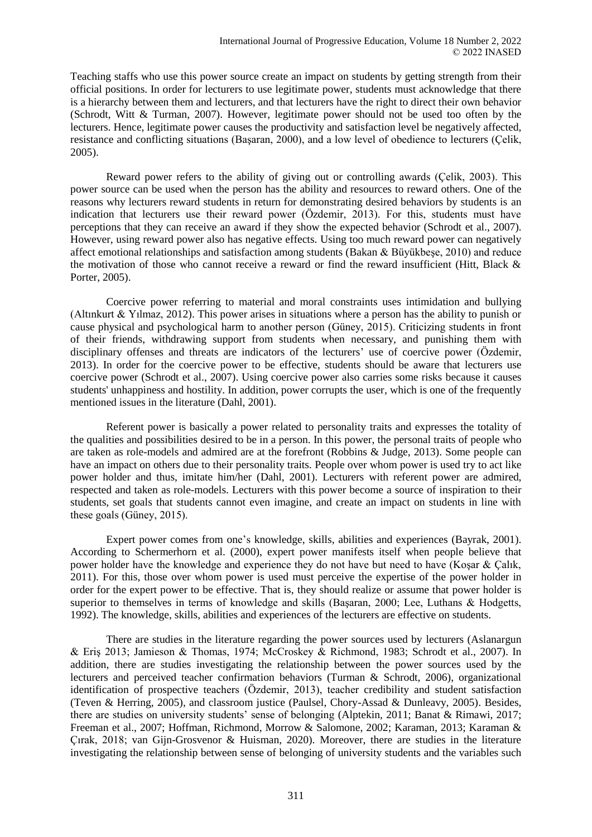Teaching staffs who use this power source create an impact on students by getting strength from their official positions. In order for lecturers to use legitimate power, students must acknowledge that there is a hierarchy between them and lecturers, and that lecturers have the right to direct their own behavior (Schrodt, Witt & Turman, 2007). However, legitimate power should not be used too often by the lecturers. Hence, legitimate power causes the productivity and satisfaction level be negatively affected, resistance and conflicting situations (Başaran, 2000), and a low level of obedience to lecturers (Çelik, 2005).

Reward power refers to the ability of giving out or controlling awards (Çelik, 2003). This power source can be used when the person has the ability and resources to reward others. One of the reasons why lecturers reward students in return for demonstrating desired behaviors by students is an indication that lecturers use their reward power (Özdemir, 2013). For this, students must have perceptions that they can receive an award if they show the expected behavior (Schrodt et al., 2007). However, using reward power also has negative effects. Using too much reward power can negatively affect emotional relationships and satisfaction among students (Bakan & Büyükbeşe, 2010) and reduce the motivation of those who cannot receive a reward or find the reward insufficient (Hitt, Black & Porter, 2005).

Coercive power referring to material and moral constraints uses intimidation and bullying (Altınkurt & Yılmaz, 2012). This power arises in situations where a person has the ability to punish or cause physical and psychological harm to another person (Güney, 2015). Criticizing students in front of their friends, withdrawing support from students when necessary, and punishing them with disciplinary offenses and threats are indicators of the lecturers' use of coercive power (Özdemir, 2013). In order for the coercive power to be effective, students should be aware that lecturers use coercive power (Schrodt et al., 2007). Using coercive power also carries some risks because it causes students' unhappiness and hostility. In addition, power corrupts the user, which is one of the frequently mentioned issues in the literature (Dahl, 2001).

Referent power is basically a power related to personality traits and expresses the totality of the qualities and possibilities desired to be in a person. In this power, the personal traits of people who are taken as role-models and admired are at the forefront (Robbins & Judge, 2013). Some people can have an impact on others due to their personality traits. People over whom power is used try to act like power holder and thus, imitate him/her (Dahl, 2001). Lecturers with referent power are admired, respected and taken as role-models. Lecturers with this power become a source of inspiration to their students, set goals that students cannot even imagine, and create an impact on students in line with these goals (Güney, 2015).

Expert power comes from one's knowledge, skills, abilities and experiences (Bayrak, 2001). According to Schermerhorn et al. (2000), expert power manifests itself when people believe that power holder have the knowledge and experience they do not have but need to have (Koşar & Çalık, 2011). For this, those over whom power is used must perceive the expertise of the power holder in order for the expert power to be effective. That is, they should realize or assume that power holder is superior to themselves in terms of knowledge and skills (Başaran, 2000; Lee, Luthans & Hodgetts, 1992). The knowledge, skills, abilities and experiences of the lecturers are effective on students.

There are studies in the literature regarding the power sources used by lecturers (Aslanargun & Eriş 2013; Jamieson & Thomas, 1974; McCroskey & Richmond, 1983; Schrodt et al., 2007). In addition, there are studies investigating the relationship between the power sources used by the lecturers and perceived teacher confirmation behaviors (Turman & Schrodt, 2006), organizational identification of prospective teachers (Özdemir, 2013), teacher credibility and student satisfaction (Teven & Herring, 2005), and classroom justice (Paulsel, Chory-Assad & Dunleavy, 2005). Besides, there are studies on university students' sense of belonging (Alptekin, 2011; Banat & Rimawi, 2017; Freeman et al., 2007; Hoffman, Richmond, Morrow & Salomone, 2002; Karaman, 2013; Karaman & Çırak, 2018; van Gijn-Grosvenor & Huisman, 2020). Moreover, there are studies in the literature investigating the relationship between sense of belonging of university students and the variables such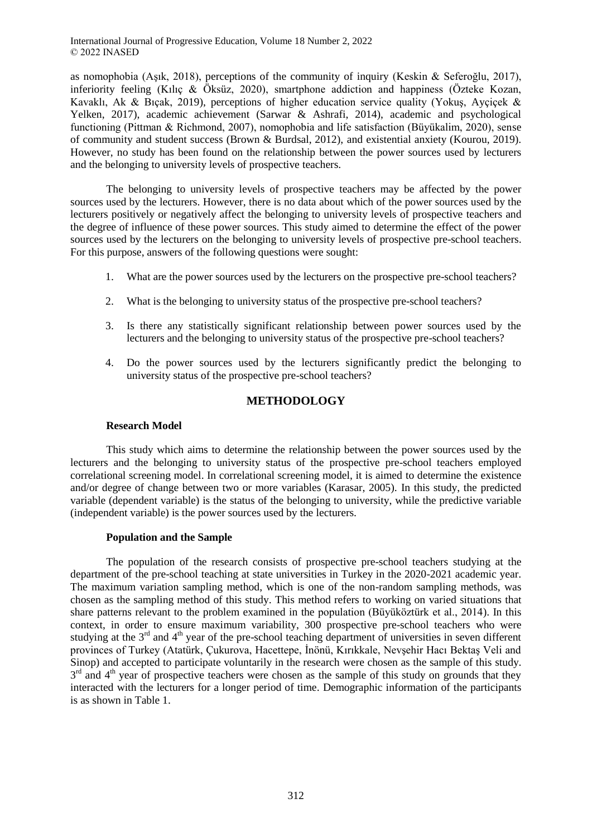as nomophobia (Aşık, 2018), perceptions of the community of inquiry (Keskin & Seferoğlu, 2017), inferiority feeling (Kılıç & Öksüz, 2020), smartphone addiction and happiness (Özteke Kozan, Kavaklı, Ak & Bıçak, 2019), perceptions of higher education service quality (Yokuş, Ayçiçek & Yelken, 2017), academic achievement (Sarwar & Ashrafi, 2014), academic and psychological functioning (Pittman & Richmond, 2007), nomophobia and life satisfaction (Büyükalim, 2020), sense of community and student success (Brown & Burdsal, 2012), and existential anxiety (Kourou, 2019). However, no study has been found on the relationship between the power sources used by lecturers and the belonging to university levels of prospective teachers.

The belonging to university levels of prospective teachers may be affected by the power sources used by the lecturers. However, there is no data about which of the power sources used by the lecturers positively or negatively affect the belonging to university levels of prospective teachers and the degree of influence of these power sources. This study aimed to determine the effect of the power sources used by the lecturers on the belonging to university levels of prospective pre-school teachers. For this purpose, answers of the following questions were sought:

- 1. What are the power sources used by the lecturers on the prospective pre-school teachers?
- 2. What is the belonging to university status of the prospective pre-school teachers?
- 3. Is there any statistically significant relationship between power sources used by the lecturers and the belonging to university status of the prospective pre-school teachers?
- 4. Do the power sources used by the lecturers significantly predict the belonging to university status of the prospective pre-school teachers?

# **METHODOLOGY**

## **Research Model**

This study which aims to determine the relationship between the power sources used by the lecturers and the belonging to university status of the prospective pre-school teachers employed correlational screening model. In correlational screening model, it is aimed to determine the existence and/or degree of change between two or more variables (Karasar, 2005). In this study, the predicted variable (dependent variable) is the status of the belonging to university, while the predictive variable (independent variable) is the power sources used by the lecturers.

## **Population and the Sample**

The population of the research consists of prospective pre-school teachers studying at the department of the pre-school teaching at state universities in Turkey in the 2020-2021 academic year. The maximum variation sampling method, which is one of the non-random sampling methods, was chosen as the sampling method of this study. This method refers to working on varied situations that share patterns relevant to the problem examined in the population (Büyüköztürk et al., 2014). In this context, in order to ensure maximum variability, 300 prospective pre-school teachers who were studying at the 3<sup>rd</sup> and 4<sup>th</sup> year of the pre-school teaching department of universities in seven different provinces of Turkey (Atatürk, Çukurova, Hacettepe, İnönü, Kırıkkale, Nevşehir Hacı Bektaş Veli and Sinop) and accepted to participate voluntarily in the research were chosen as the sample of this study. 3<sup>rd</sup> and 4<sup>th</sup> year of prospective teachers were chosen as the sample of this study on grounds that they interacted with the lecturers for a longer period of time. Demographic information of the participants is as shown in Table 1.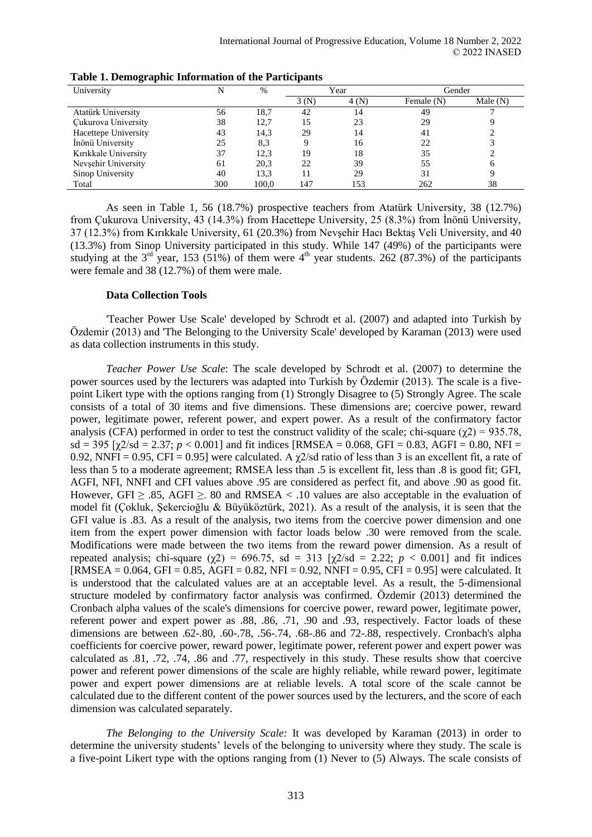| University           |     | %     | Year |      | Gender       |            |
|----------------------|-----|-------|------|------|--------------|------------|
|                      |     |       | 3(N) | 4(N) | Female $(N)$ | Male $(N)$ |
| Atatürk University   | 56  | 18,7  | 42   | 14   | 49           |            |
| Cukurova University  | 38  | 12.7  |      | 23   | 29           |            |
| Hacettepe University | 43  | 14,3  | 29   | 14   | 41           |            |
| İnönü University     | 25  | 8.3   |      | 16   | 22           |            |
| Kırıkkale University | 37  | 12,3  | 19   | 18   | 35           |            |
| Nevşehir University  | 61  | 20,3  | 22   | 39   | 55           | h          |
| Sinop University     | 40  | 13,3  |      | 29   | 31           |            |
| Total                | 300 | 100.0 | 147  | 153  | 262          | 38         |

|  |  |  | Table 1. Demographic Information of the Participants |
|--|--|--|------------------------------------------------------|
|  |  |  |                                                      |

As seen in Table 1, 56 (18.7%) prospective teachers from Atatürk University, 38 (12.7%) from Çukurova University, 43 (14.3%) from Hacettepe University, 25 (8.3%) from İnönü University, 37 (12.3%) from Kırıkkale University, 61 (20.3%) from Nevşehir Hacı Bektaş Veli University, and 40 (13.3%) from Sinop University participated in this study. While 147 (49%) of the participants were studying at the  $3<sup>rd</sup>$  year, 153 (51%) of them were 4<sup>th</sup> year students. 262 (87.3%) of the participants were female and 38 (12.7%) of them were male.

#### **Data Collection Tools**

'Teacher Power Use Scale' developed by Schrodt et al. (2007) and adapted into Turkish by Özdemir (2013) and 'The Belonging to the University Scale' developed by Karaman (2013) were used as data collection instruments in this study.

*Teacher Power Use Scale*: The scale developed by Schrodt et al. (2007) to determine the power sources used by the lecturers was adapted into Turkish by Özdemir (2013). The scale is a fivepoint Likert type with the options ranging from (1) Strongly Disagree to (5) Strongly Agree. The scale consists of a total of 30 items and five dimensions. These dimensions are; coercive power, reward power, legitimate power, referent power, and expert power. As a result of the confirmatory factor analysis (CFA) performed in order to test the construct validity of the scale; chi-square ( $\gamma$ 2) = 935.78, sd = 395  $[\gamma2/\text{sd} = 2.37; p < 0.001]$  and fit indices  $[\text{RMSEA} = 0.068, \text{GFI} = 0.83, \text{AGFI} = 0.80, \text{NFI} =$ 0.92, NNFI = 0.95, CFI = 0.95] were calculated. A  $\gamma$ 2/sd ratio of less than 3 is an excellent fit, a rate of less than 5 to a moderate agreement; RMSEA less than .5 is excellent fit, less than .8 is good fit; GFI, AGFI, NFI, NNFI and CFI values above .95 are considered as perfect fit, and above .90 as good fit. However, GFI  $\geq$  .85, AGFI  $\geq$ .80 and RMSEA < .10 values are also acceptable in the evaluation of model fit (Çokluk, Şekercioğlu & Büyüköztürk, 2021). As a result of the analysis, it is seen that the GFI value is .83. As a result of the analysis, two items from the coercive power dimension and one item from the expert power dimension with factor loads below .30 were removed from the scale. Modifications were made between the two items from the reward power dimension. As a result of repeated analysis; chi-square ( $\chi$ 2) = 696.75, sd = 313 [ $\chi$ 2/sd = 2.22; *p* < 0.001] and fit indices  $[RMSEA = 0.064, GFI = 0.85, AGFI = 0.82, NFI = 0.92, NNFI = 0.95, CFI = 0.95]$  were calculated. It is understood that the calculated values are at an acceptable level. As a result, the 5-dimensional structure modeled by confirmatory factor analysis was confirmed. Özdemir (2013) determined the Cronbach alpha values of the scale's dimensions for coercive power, reward power, legitimate power, referent power and expert power as .88, .86, .71, .90 and .93, respectively. Factor loads of these dimensions are between .62-.80, .60-.78, .56-.74, .68-.86 and 72-.88, respectively. Cronbach's alpha coefficients for coercive power, reward power, legitimate power, referent power and expert power was calculated as .81, .72, .74, .86 and .77, respectively in this study. These results show that coercive power and referent power dimensions of the scale are highly reliable, while reward power, legitimate power and expert power dimensions are at reliable levels. A total score of the scale cannot be calculated due to the different content of the power sources used by the lecturers, and the score of each dimension was calculated separately.

*The Belonging to the University Scale:* It was developed by Karaman (2013) in order to determine the university students' levels of the belonging to university where they study. The scale is a five-point Likert type with the options ranging from (1) Never to (5) Always. The scale consists of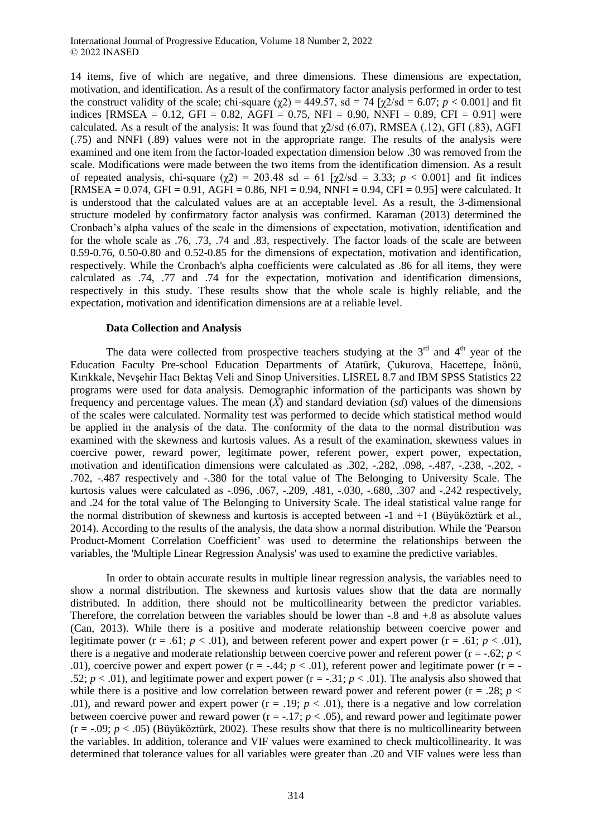14 items, five of which are negative, and three dimensions. These dimensions are expectation, motivation, and identification. As a result of the confirmatory factor analysis performed in order to test the construct validity of the scale; chi-square ( $\chi$ 2) = 449.57, sd = 74 [ $\chi$ 2/sd = 6.07; *p* < 0.001] and fit indices [RMSEA = 0.12, GFI = 0.82, AGFI = 0.75, NFI = 0.90, NNFI = 0.89, CFI = 0.91] were calculated. As a result of the analysis; It was found that  $\chi$ 2/sd (6.07), RMSEA (.12), GFI (.83), AGFI (.75) and NNFI (.89) values were not in the appropriate range. The results of the analysis were examined and one item from the factor-loaded expectation dimension below .30 was removed from the scale. Modifications were made between the two items from the identification dimension. As a result of repeated analysis, chi-square  $(\gamma 2) = 203.48$  sd = 61  $[\gamma 2/\text{sd} = 3.33; p < 0.001]$  and fit indices  $[RMSEA = 0.074, GFI = 0.91, AGFI = 0.86, NFI = 0.94, NNFI = 0.94, CFI = 0.95]$  were calculated. It is understood that the calculated values are at an acceptable level. As a result, the 3-dimensional structure modeled by confirmatory factor analysis was confirmed. Karaman (2013) determined the Cronbach's alpha values of the scale in the dimensions of expectation, motivation, identification and for the whole scale as .76, .73, .74 and .83, respectively. The factor loads of the scale are between 0.59-0.76, 0.50-0.80 and 0.52-0.85 for the dimensions of expectation, motivation and identification, respectively. While the Cronbach's alpha coefficients were calculated as .86 for all items, they were calculated as .74, .77 and .74 for the expectation, motivation and identification dimensions, respectively in this study. These results show that the whole scale is highly reliable, and the expectation, motivation and identification dimensions are at a reliable level.

#### **Data Collection and Analysis**

The data were collected from prospective teachers studying at the  $3<sup>rd</sup>$  and  $4<sup>th</sup>$  year of the Education Faculty Pre-school Education Departments of Atatürk, Çukurova, Hacettepe, İnönü, Kırıkkale, Nevşehir Hacı Bektaş Veli and Sinop Universities. LISREL 8.7 and IBM SPSS Statistics 22 programs were used for data analysis. Demographic information of the participants was shown by frequency and percentage values. The mean  $(\bar{X})$  and standard deviation (*sd*) values of the dimensions of the scales were calculated. Normality test was performed to decide which statistical method would be applied in the analysis of the data. The conformity of the data to the normal distribution was examined with the skewness and kurtosis values. As a result of the examination, skewness values in coercive power, reward power, legitimate power, referent power, expert power, expectation, motivation and identification dimensions were calculated as .302, -.282, .098, -.487, -.238, -.202, - .702, -.487 respectively and -.380 for the total value of The Belonging to University Scale. The kurtosis values were calculated as -.096, .067, -.209, .481, -.030, -.680, .307 and -.242 respectively, and .24 for the total value of The Belonging to University Scale. The ideal statistical value range for the normal distribution of skewness and kurtosis is accepted between -1 and +1 (Büyüköztürk et al., 2014). According to the results of the analysis, the data show a normal distribution. While the 'Pearson Product-Moment Correlation Coefficient' was used to determine the relationships between the variables, the 'Multiple Linear Regression Analysis' was used to examine the predictive variables.

In order to obtain accurate results in multiple linear regression analysis, the variables need to show a normal distribution. The skewness and kurtosis values show that the data are normally distributed. In addition, there should not be multicollinearity between the predictor variables. Therefore, the correlation between the variables should be lower than -.8 and +.8 as absolute values (Can, 2013). While there is a positive and moderate relationship between coercive power and legitimate power ( $r = .61$ ;  $p < .01$ ), and between referent power and expert power ( $r = .61$ ;  $p < .01$ ), there is a negative and moderate relationship between coercive power and referent power ( $r = -.62$ ;  $p <$ .01), coercive power and expert power  $(r = -0.44; p < .01)$ , referent power and legitimate power  $(r = -0.44; p < .01)$ .52;  $p < .01$ ), and legitimate power and expert power (r = -.31;  $p < .01$ ). The analysis also showed that while there is a positive and low correlation between reward power and referent power ( $r = .28$ ;  $p <$ .01), and reward power and expert power  $(r = .19; p < .01)$ , there is a negative and low correlation between coercive power and reward power  $(r = -17; p < .05)$ , and reward power and legitimate power  $(r = -0.09; p < .05)$  (Büyüköztürk, 2002). These results show that there is no multicollinearity between the variables. In addition, tolerance and VIF values were examined to check multicollinearity. It was determined that tolerance values for all variables were greater than .20 and VIF values were less than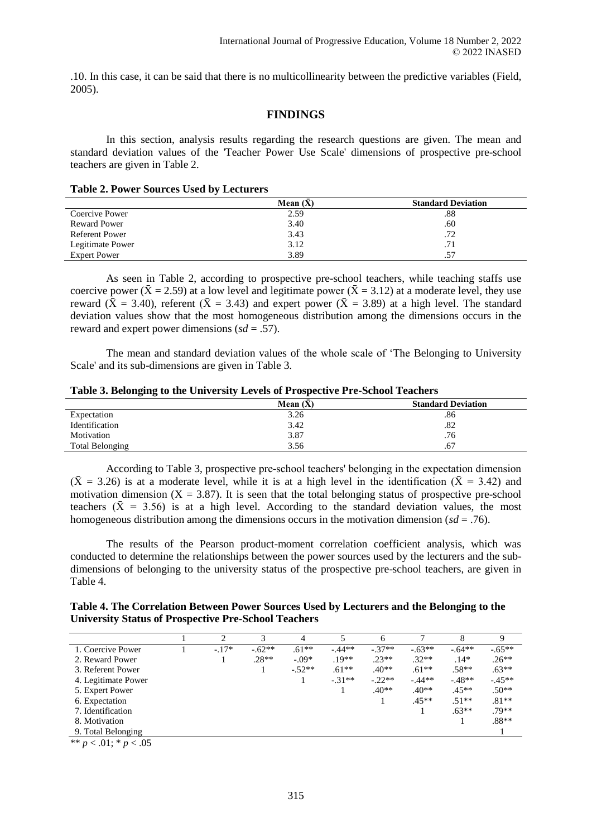.10. In this case, it can be said that there is no multicollinearity between the predictive variables (Field, 2005).

## **FINDINGS**

In this section, analysis results regarding the research questions are given. The mean and standard deviation values of the 'Teacher Power Use Scale' dimensions of prospective pre-school teachers are given in Table 2.

| <b>Table 2. Power Sources Used by Lecturers</b> |  |  |  |
|-------------------------------------------------|--|--|--|
|-------------------------------------------------|--|--|--|

|                       | Mean $(\bar{X})$ | <b>Standard Deviation</b> |
|-----------------------|------------------|---------------------------|
| Coercive Power        | 2.59             | .88                       |
| <b>Reward Power</b>   | 3.40             | .60                       |
| <b>Referent Power</b> | 3.43             | .72                       |
| Legitimate Power      | 3.12             | .71                       |
| <b>Expert Power</b>   | 3.89             | .57                       |

As seen in Table 2, according to prospective pre-school teachers, while teaching staffs use coercive power ( $\bar{X} = 2.59$ ) at a low level and legitimate power ( $\bar{X} = 3.12$ ) at a moderate level, they use reward ( $\bar{X} = 3.40$ ), referent ( $\bar{X} = 3.43$ ) and expert power ( $\bar{X} = 3.89$ ) at a high level. The standard deviation values show that the most homogeneous distribution among the dimensions occurs in the reward and expert power dimensions (*sd* = .57).

The mean and standard deviation values of the whole scale of 'The Belonging to University Scale' and its sub-dimensions are given in Table 3.

|                        | Mean $(X)$ | <b>Standard Deviation</b> |
|------------------------|------------|---------------------------|
| Expectation            | 3.26       | .86                       |
| Identification         | 3.42       | .82                       |
| Motivation             | 3.87       | .76                       |
| <b>Total Belonging</b> | 3.56       | .67                       |

According to Table 3, prospective pre-school teachers' belonging in the expectation dimension  $({\bar X} = 3.26)$  is at a moderate level, while it is at a high level in the identification  $({\bar X} = 3.42)$  and motivation dimension  $(X = 3.87)$ . It is seen that the total belonging status of prospective pre-school teachers ( $\bar{X}$  = 3.56) is at a high level. According to the standard deviation values, the most homogeneous distribution among the dimensions occurs in the motivation dimension (*sd* = .76).

The results of the Pearson product-moment correlation coefficient analysis, which was conducted to determine the relationships between the power sources used by the lecturers and the subdimensions of belonging to the university status of the prospective pre-school teachers, are given in Table 4.

# **Table 4. The Correlation Between Power Sources Used by Lecturers and the Belonging to the University Status of Prospective Pre-School Teachers**

|                                  |         |          | 4        |          | 6        |          |          |         |
|----------------------------------|---------|----------|----------|----------|----------|----------|----------|---------|
| 1. Coercive Power                | $-.17*$ | $-.62**$ | $.61**$  | $-.44**$ | $-.37**$ | $-.63**$ | $-.64**$ | $-65**$ |
| 2. Reward Power                  |         | $.28**$  | $-.09*$  | $.19**$  | $.23**$  | $.32**$  | $.14*$   | $.26**$ |
| 3. Referent Power                |         |          | $-.52**$ | $.61**$  | $.40**$  | $.61**$  | $.58**$  | $.63**$ |
| 4. Legitimate Power              |         |          |          | $-.31**$ | $-.22**$ | $-.44**$ | $-.48**$ | $-45**$ |
| 5. Expert Power                  |         |          |          |          | $.40**$  | $.40**$  | $.45**$  | $.50**$ |
| 6. Expectation                   |         |          |          |          |          | $.45**$  | $.51**$  | $.81**$ |
| 7. Identification                |         |          |          |          |          |          | $.63**$  | .79**   |
| 8. Motivation                    |         |          |          |          |          |          |          | $.88**$ |
| 9. Total Belonging               |         |          |          |          |          |          |          |         |
| $*$ $*$ $\sim$ 01. $*$ $\sim$ 05 |         |          |          |          |          |          |          |         |

\*\* *p* < .01; \* *p* < .05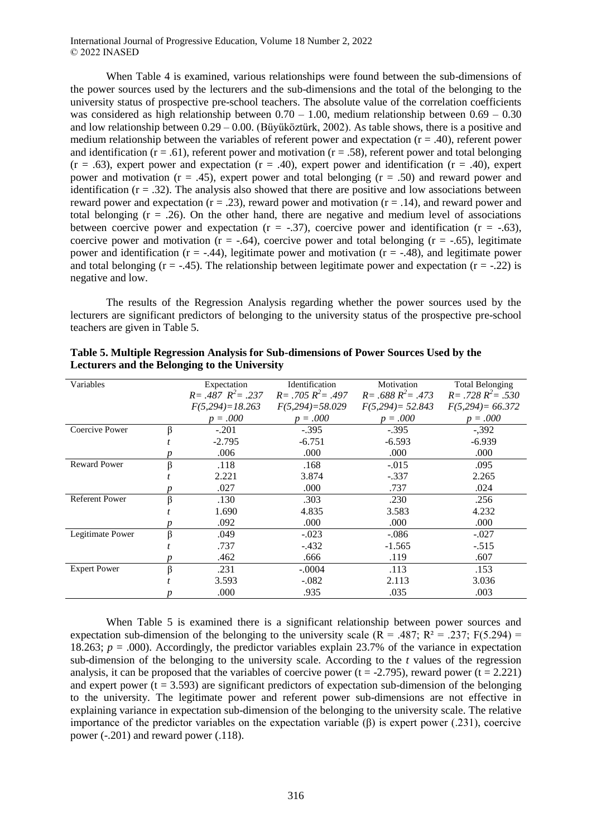When Table 4 is examined, various relationships were found between the sub-dimensions of the power sources used by the lecturers and the sub-dimensions and the total of the belonging to the university status of prospective pre-school teachers. The absolute value of the correlation coefficients was considered as high relationship between  $0.70 - 1.00$ , medium relationship between  $0.69 - 0.30$ and low relationship between  $0.29 - 0.00$ . (Büyüköztürk, 2002). As table shows, there is a positive and medium relationship between the variables of referent power and expectation  $(r = .40)$ , referent power and identification ( $r = .61$ ), referent power and motivation ( $r = .58$ ), referent power and total belonging  $(r = .63)$ , expert power and expectation  $(r = .40)$ , expert power and identification  $(r = .40)$ , expert power and motivation  $(r = .45)$ , expert power and total belonging  $(r = .50)$  and reward power and identification  $(r = .32)$ . The analysis also showed that there are positive and low associations between reward power and expectation ( $r = .23$ ), reward power and motivation ( $r = .14$ ), and reward power and total belonging  $(r = .26)$ . On the other hand, there are negative and medium level of associations between coercive power and expectation ( $r = -.37$ ), coercive power and identification ( $r = -.63$ ), coercive power and motivation ( $r = -.64$ ), coercive power and total belonging ( $r = -.65$ ), legitimate power and identification ( $r = -0.44$ ), legitimate power and motivation ( $r = -0.48$ ), and legitimate power and total belonging ( $r = -0.45$ ). The relationship between legitimate power and expectation ( $r = -0.22$ ) is negative and low.

The results of the Regression Analysis regarding whether the power sources used by the lecturers are significant predictors of belonging to the university status of the prospective pre-school teachers are given in Table 5.

| Variables             |   | Expectation           | Identification        | Motivation            | <b>Total Belonging</b> |
|-----------------------|---|-----------------------|-----------------------|-----------------------|------------------------|
|                       |   | $R = .487 R^2 = .237$ | $R = .705 R^2 = .497$ | $R = .688 R^2 = .473$ | $R = .728 R^2 = .530$  |
|                       |   | $F(5,294)=18.263$     | $F(5,294)=58.029$     | $F(5,294) = 52.843$   | $F(5,294) = 66.372$    |
|                       |   | $p=.000$              | $p = .000$            | $p = .000$            | $p = .000$             |
| Coercive Power        | β | $-.201$               | $-.395$               | $-.395$               | $-.392$                |
|                       |   | $-2.795$              | $-6.751$              | $-6.593$              | $-6.939$               |
|                       |   | .006                  | .000                  | .000                  | .000                   |
| <b>Reward Power</b>   | β | .118                  | .168                  | $-.015$               | .095                   |
|                       |   | 2.221                 | 3.874                 | $-.337$               | 2.265                  |
|                       |   | .027                  | .000                  | .737                  | .024                   |
| <b>Referent Power</b> | β | .130                  | .303                  | .230                  | .256                   |
|                       |   | 1.690                 | 4.835                 | 3.583                 | 4.232                  |
|                       |   | .092                  | .000                  | .000                  | .000                   |
| Legitimate Power      | β | .049                  | $-.023$               | $-.086$               | $-.027$                |
|                       |   | .737                  | $-.432$               | $-1.565$              | $-.515$                |
|                       |   | .462                  | .666                  | .119                  | .607                   |
| <b>Expert Power</b>   | β | .231                  | $-.0004$              | .113                  | .153                   |
|                       |   | 3.593                 | $-.082$               | 2.113                 | 3.036                  |
|                       |   | .000                  | .935                  | .035                  | .003                   |

| Table 5. Multiple Regression Analysis for Sub-dimensions of Power Sources Used by the |  |
|---------------------------------------------------------------------------------------|--|
| Lecturers and the Belonging to the University                                         |  |

When Table 5 is examined there is a significant relationship between power sources and expectation sub-dimension of the belonging to the university scale (R = .487; R<sup>2</sup> = .237; F(5.294) = 18.263;  $p = .000$ ). Accordingly, the predictor variables explain 23.7% of the variance in expectation sub-dimension of the belonging to the university scale. According to the *t* values of the regression analysis, it can be proposed that the variables of coercive power (t = -2.795), reward power (t = 2.221) and expert power  $(t = 3.593)$  are significant predictors of expectation sub-dimension of the belonging to the university. The legitimate power and referent power sub-dimensions are not effective in explaining variance in expectation sub-dimension of the belonging to the university scale. The relative importance of the predictor variables on the expectation variable (β) is expert power (.231), coercive power (-.201) and reward power (.118).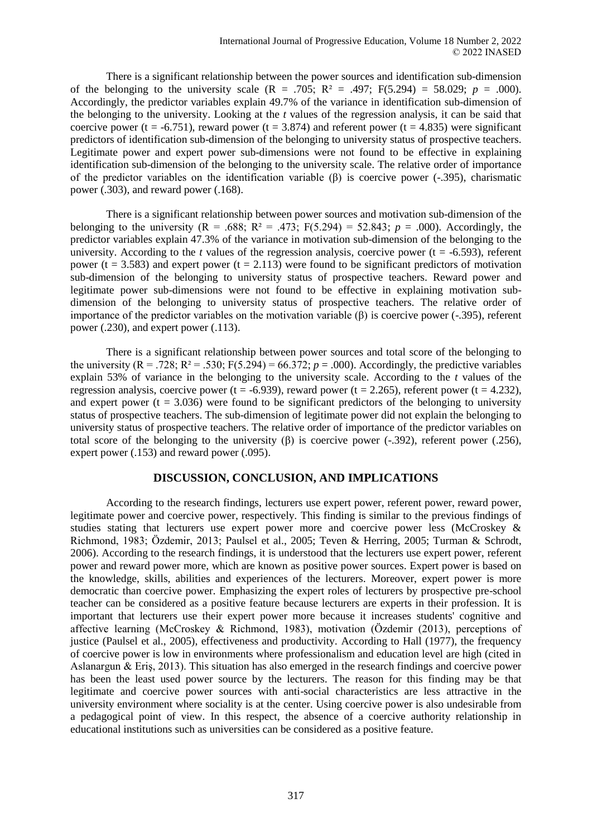There is a significant relationship between the power sources and identification sub-dimension of the belonging to the university scale  $(R = .705; R^2 = .497; F(5.294) = 58.029; p = .000)$ . Accordingly, the predictor variables explain 49.7% of the variance in identification sub-dimension of the belonging to the university. Looking at the *t* values of the regression analysis, it can be said that coercive power (t = -6.751), reward power (t = 3.874) and referent power (t = 4.835) were significant predictors of identification sub-dimension of the belonging to university status of prospective teachers. Legitimate power and expert power sub-dimensions were not found to be effective in explaining identification sub-dimension of the belonging to the university scale. The relative order of importance of the predictor variables on the identification variable (β) is coercive power (-.395), charismatic power (.303), and reward power (.168).

There is a significant relationship between power sources and motivation sub-dimension of the belonging to the university  $(R = .688; R^2 = .473; F(5.294) = 52.843; p = .000)$ . Accordingly, the predictor variables explain 47.3% of the variance in motivation sub-dimension of the belonging to the university. According to the  $t$  values of the regression analysis, coercive power ( $t = -6.593$ ), referent power ( $t = 3.583$ ) and expert power ( $t = 2.113$ ) were found to be significant predictors of motivation sub-dimension of the belonging to university status of prospective teachers. Reward power and legitimate power sub-dimensions were not found to be effective in explaining motivation subdimension of the belonging to university status of prospective teachers. The relative order of importance of the predictor variables on the motivation variable (β) is coercive power (-.395), referent power (.230), and expert power (.113).

There is a significant relationship between power sources and total score of the belonging to the university  $(R = .728; R^2 = .530; F(.5.294) = 66.372; p = .000)$ . Accordingly, the predictive variables explain 53% of variance in the belonging to the university scale. According to the *t* values of the regression analysis, coercive power (t = -6.939), reward power (t = 2.265), referent power (t = 4.232), and expert power ( $t = 3.036$ ) were found to be significant predictors of the belonging to university status of prospective teachers. The sub-dimension of legitimate power did not explain the belonging to university status of prospective teachers. The relative order of importance of the predictor variables on total score of the belonging to the university (β) is coercive power  $(-.392)$ , referent power  $(.256)$ , expert power (.153) and reward power (.095).

# **DISCUSSION, CONCLUSION, AND IMPLICATIONS**

According to the research findings, lecturers use expert power, referent power, reward power, legitimate power and coercive power, respectively. This finding is similar to the previous findings of studies stating that lecturers use expert power more and coercive power less (McCroskey & Richmond, 1983; Özdemir, 2013; Paulsel et al., 2005; Teven & Herring, 2005; Turman & Schrodt, 2006). According to the research findings, it is understood that the lecturers use expert power, referent power and reward power more, which are known as positive power sources. Expert power is based on the knowledge, skills, abilities and experiences of the lecturers. Moreover, expert power is more democratic than coercive power. Emphasizing the expert roles of lecturers by prospective pre-school teacher can be considered as a positive feature because lecturers are experts in their profession. It is important that lecturers use their expert power more because it increases students' cognitive and affective learning (McCroskey & Richmond, 1983), motivation (Özdemir (2013), perceptions of justice (Paulsel et al., 2005), effectiveness and productivity. According to Hall (1977), the frequency of coercive power is low in environments where professionalism and education level are high (cited in Aslanargun & Eriş, 2013). This situation has also emerged in the research findings and coercive power has been the least used power source by the lecturers. The reason for this finding may be that legitimate and coercive power sources with anti-social characteristics are less attractive in the university environment where sociality is at the center. Using coercive power is also undesirable from a pedagogical point of view. In this respect, the absence of a coercive authority relationship in educational institutions such as universities can be considered as a positive feature.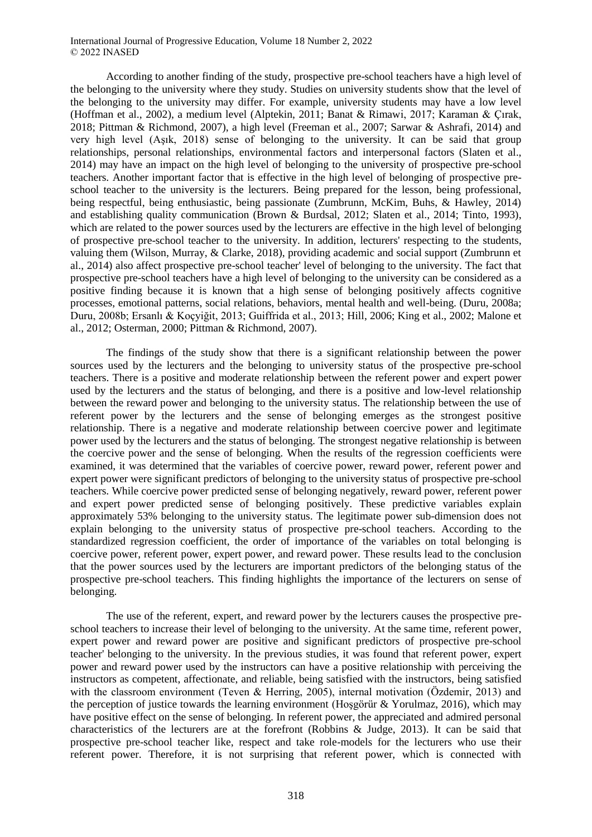According to another finding of the study, prospective pre-school teachers have a high level of the belonging to the university where they study. Studies on university students show that the level of the belonging to the university may differ. For example, university students may have a low level (Hoffman et al., 2002), a medium level (Alptekin, 2011; Banat & Rimawi, 2017; Karaman & Çırak, 2018; Pittman & Richmond, 2007), a high level (Freeman et al., 2007; Sarwar & Ashrafi, 2014) and very high level (Aşık, 2018) sense of belonging to the university. It can be said that group relationships, personal relationships, environmental factors and interpersonal factors (Slaten et al., 2014) may have an impact on the high level of belonging to the university of prospective pre-school teachers. Another important factor that is effective in the high level of belonging of prospective preschool teacher to the university is the lecturers. Being prepared for the lesson, being professional, being respectful, being enthusiastic, being passionate (Zumbrunn, McKim, Buhs, & Hawley, 2014) and establishing quality communication (Brown & Burdsal, 2012; Slaten et al., 2014; Tinto, 1993), which are related to the power sources used by the lecturers are effective in the high level of belonging of prospective pre-school teacher to the university. In addition, lecturers' respecting to the students, valuing them (Wilson, Murray, & Clarke, 2018), providing academic and social support (Zumbrunn et al., 2014) also affect prospective pre-school teacher' level of belonging to the university. The fact that prospective pre-school teachers have a high level of belonging to the university can be considered as a positive finding because it is known that a high sense of belonging positively affects cognitive processes, emotional patterns, social relations, behaviors, mental health and well-being. (Duru, 2008a; Duru, 2008b; Ersanlı & Koçyiğit, 2013; Guiffrida et al., 2013; Hill, 2006; King et al., 2002; Malone et al., 2012; Osterman, 2000; Pittman & Richmond, 2007).

The findings of the study show that there is a significant relationship between the power sources used by the lecturers and the belonging to university status of the prospective pre-school teachers. There is a positive and moderate relationship between the referent power and expert power used by the lecturers and the status of belonging, and there is a positive and low-level relationship between the reward power and belonging to the university status. The relationship between the use of referent power by the lecturers and the sense of belonging emerges as the strongest positive relationship. There is a negative and moderate relationship between coercive power and legitimate power used by the lecturers and the status of belonging. The strongest negative relationship is between the coercive power and the sense of belonging. When the results of the regression coefficients were examined, it was determined that the variables of coercive power, reward power, referent power and expert power were significant predictors of belonging to the university status of prospective pre-school teachers. While coercive power predicted sense of belonging negatively, reward power, referent power and expert power predicted sense of belonging positively. These predictive variables explain approximately 53% belonging to the university status. The legitimate power sub-dimension does not explain belonging to the university status of prospective pre-school teachers. According to the standardized regression coefficient, the order of importance of the variables on total belonging is coercive power, referent power, expert power, and reward power. These results lead to the conclusion that the power sources used by the lecturers are important predictors of the belonging status of the prospective pre-school teachers. This finding highlights the importance of the lecturers on sense of belonging.

The use of the referent, expert, and reward power by the lecturers causes the prospective preschool teachers to increase their level of belonging to the university. At the same time, referent power, expert power and reward power are positive and significant predictors of prospective pre-school teacher' belonging to the university. In the previous studies, it was found that referent power, expert power and reward power used by the instructors can have a positive relationship with perceiving the instructors as competent, affectionate, and reliable, being satisfied with the instructors, being satisfied with the classroom environment (Teven & Herring, 2005), internal motivation (Özdemir, 2013) and the perception of justice towards the learning environment (Hoşgörür & Yorulmaz, 2016), which may have positive effect on the sense of belonging. In referent power, the appreciated and admired personal characteristics of the lecturers are at the forefront (Robbins & Judge, 2013). It can be said that prospective pre-school teacher like, respect and take role-models for the lecturers who use their referent power. Therefore, it is not surprising that referent power, which is connected with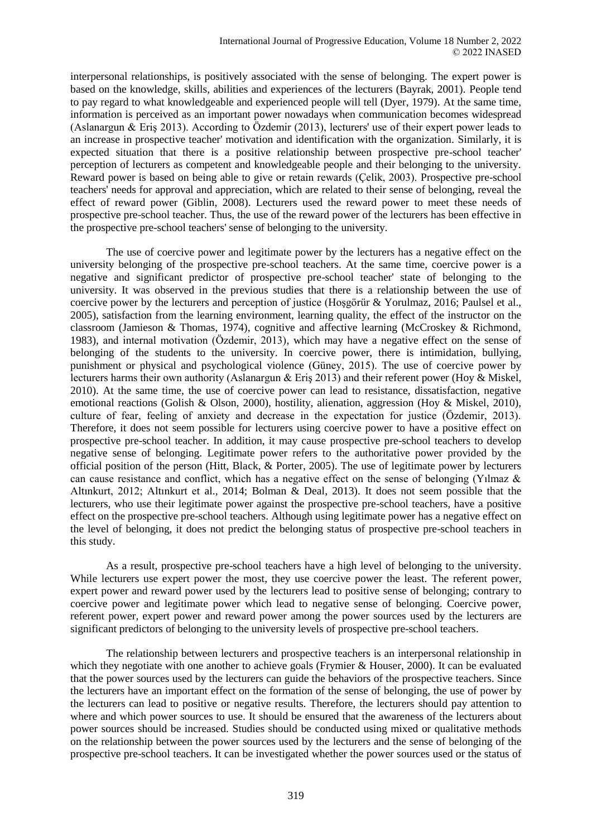interpersonal relationships, is positively associated with the sense of belonging. The expert power is based on the knowledge, skills, abilities and experiences of the lecturers (Bayrak, 2001). People tend to pay regard to what knowledgeable and experienced people will tell (Dyer, 1979). At the same time, information is perceived as an important power nowadays when communication becomes widespread (Aslanargun & Eriş 2013). According to Özdemir (2013), lecturers' use of their expert power leads to an increase in prospective teacher' motivation and identification with the organization. Similarly, it is expected situation that there is a positive relationship between prospective pre-school teacher' perception of lecturers as competent and knowledgeable people and their belonging to the university. Reward power is based on being able to give or retain rewards (Çelik, 2003). Prospective pre-school teachers' needs for approval and appreciation, which are related to their sense of belonging, reveal the effect of reward power (Giblin, 2008). Lecturers used the reward power to meet these needs of prospective pre-school teacher. Thus, the use of the reward power of the lecturers has been effective in the prospective pre-school teachers' sense of belonging to the university.

The use of coercive power and legitimate power by the lecturers has a negative effect on the university belonging of the prospective pre-school teachers. At the same time, coercive power is a negative and significant predictor of prospective pre-school teacher' state of belonging to the university. It was observed in the previous studies that there is a relationship between the use of coercive power by the lecturers and perception of justice (Hoşgörür & Yorulmaz, 2016; Paulsel et al., 2005), satisfaction from the learning environment, learning quality, the effect of the instructor on the classroom (Jamieson & Thomas, 1974), cognitive and affective learning (McCroskey & Richmond, 1983), and internal motivation (Özdemir, 2013), which may have a negative effect on the sense of belonging of the students to the university. In coercive power, there is intimidation, bullying, punishment or physical and psychological violence (Güney, 2015). The use of coercive power by lecturers harms their own authority (Aslanargun & Eriş 2013) and their referent power (Hoy & Miskel, 2010). At the same time, the use of coercive power can lead to resistance, dissatisfaction, negative emotional reactions (Golish & Olson, 2000), hostility, alienation, aggression (Hoy & Miskel, 2010), culture of fear, feeling of anxiety and decrease in the expectation for justice (Özdemir, 2013). Therefore, it does not seem possible for lecturers using coercive power to have a positive effect on prospective pre-school teacher. In addition, it may cause prospective pre-school teachers to develop negative sense of belonging. Legitimate power refers to the authoritative power provided by the official position of the person (Hitt, Black, & Porter, 2005). The use of legitimate power by lecturers can cause resistance and conflict, which has a negative effect on the sense of belonging (Y<sub>1</sub>lmaz  $\&$ Altınkurt, 2012; Altınkurt et al., 2014; Bolman & Deal, 2013). It does not seem possible that the lecturers, who use their legitimate power against the prospective pre-school teachers, have a positive effect on the prospective pre-school teachers. Although using legitimate power has a negative effect on the level of belonging, it does not predict the belonging status of prospective pre-school teachers in this study.

As a result, prospective pre-school teachers have a high level of belonging to the university. While lecturers use expert power the most, they use coercive power the least. The referent power, expert power and reward power used by the lecturers lead to positive sense of belonging; contrary to coercive power and legitimate power which lead to negative sense of belonging. Coercive power, referent power, expert power and reward power among the power sources used by the lecturers are significant predictors of belonging to the university levels of prospective pre-school teachers.

The relationship between lecturers and prospective teachers is an interpersonal relationship in which they negotiate with one another to achieve goals (Frymier & Houser, 2000). It can be evaluated that the power sources used by the lecturers can guide the behaviors of the prospective teachers. Since the lecturers have an important effect on the formation of the sense of belonging, the use of power by the lecturers can lead to positive or negative results. Therefore, the lecturers should pay attention to where and which power sources to use. It should be ensured that the awareness of the lecturers about power sources should be increased. Studies should be conducted using mixed or qualitative methods on the relationship between the power sources used by the lecturers and the sense of belonging of the prospective pre-school teachers. It can be investigated whether the power sources used or the status of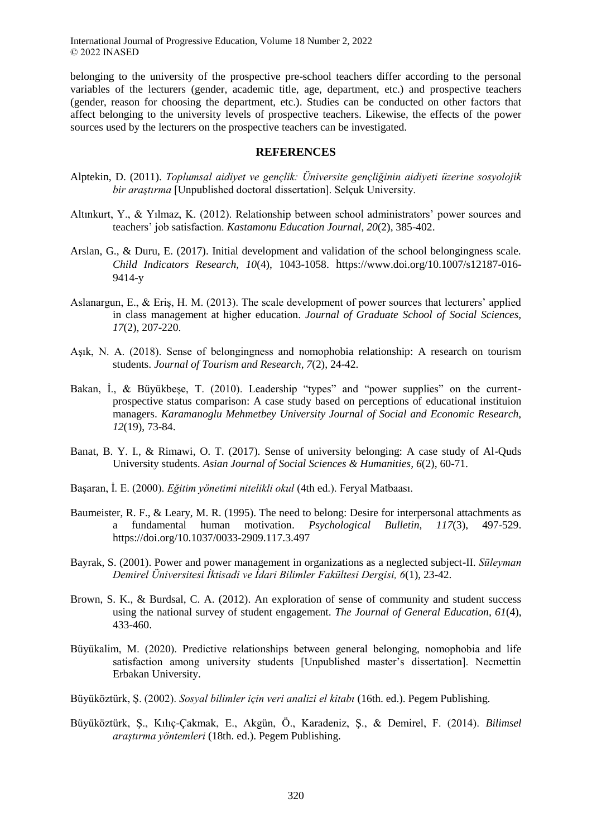belonging to the university of the prospective pre-school teachers differ according to the personal variables of the lecturers (gender, academic title, age, department, etc.) and prospective teachers (gender, reason for choosing the department, etc.). Studies can be conducted on other factors that affect belonging to the university levels of prospective teachers. Likewise, the effects of the power sources used by the lecturers on the prospective teachers can be investigated.

# **REFERENCES**

- Alptekin, D. (2011). *Toplumsal aidiyet ve gençlik: Üniversite gençliğinin aidiyeti üzerine sosyolojik bir araştırma* [Unpublished doctoral dissertation]. Selçuk University.
- Altınkurt, Y., & Yılmaz, K. (2012). Relationship between school administrators' power sources and teachers' job satisfaction. *Kastamonu Education Journal*, *20*(2), 385-402.
- Arslan, G., & Duru, E. (2017). Initial development and validation of the school belongingness scale. *Child Indicators Research, 10*(4), 1043-1058. https://www.doi.org/10.1007/s12187-016- 9414-y
- Aslanargun, E., & Eriş, H. M. (2013). The scale development of power sources that lecturers' applied in class management at higher education. *Journal of Graduate School of Social Sciences, 17*(2), 207-220.
- Aşık, N. A. (2018). Sense of belongingness and nomophobia relationship: A research on tourism students. *Journal of Tourism and Research, 7*(2), 24-42.
- Bakan, İ., & Büyükbeşe, T. (2010). Leadership "types" and "power supplies" on the currentprospective status comparison: A case study based on perceptions of educational instituion managers. *Karamanoglu Mehmetbey University Journal of Social and Economic Research, 12*(19), 73-84.
- Banat, B. Y. I., & Rimawi, O. T. (2017). Sense of university belonging: A case study of Al-Quds University students. *Asian Journal of Social Sciences & Humanities, 6*(2), 60-71.
- Başaran, İ. E. (2000). *Eğitim yönetimi nitelikli okul* (4th ed.). Feryal Matbaası.
- Baumeister, R. F., & Leary, M. R. (1995). The need to belong: Desire for interpersonal attachments as a fundamental human motivation. *Psychological Bulletin, 117*(3), 497-529. https://doi.org/10.1037/0033-2909.117.3.497
- Bayrak, S. (2001). Power and power management in organizations as a neglected subject-II. *Süleyman Demirel Üniversitesi İktisadi ve İdari Bilimler Fakültesi Dergisi, 6*(1), 23-42.
- Brown, S. K., & Burdsal, C. A. (2012). An exploration of sense of community and student success using the national survey of student engagement. *The Journal of General Education, 61*(4), 433-460.
- Büyükalim, M. (2020). Predictive relationships between general belonging, nomophobia and life satisfaction among university students [Unpublished master's dissertation]. Necmettin Erbakan University.

Büyüköztürk, Ş. (2002). *Sosyal bilimler için veri analizi el kitabı* (16th. ed.). Pegem Publishing.

Büyüköztürk, Ş., Kılıç-Çakmak, E., Akgün, Ö., Karadeniz, Ş., & Demirel, F. (2014). *Bilimsel araştırma yöntemleri* (18th. ed.). Pegem Publishing.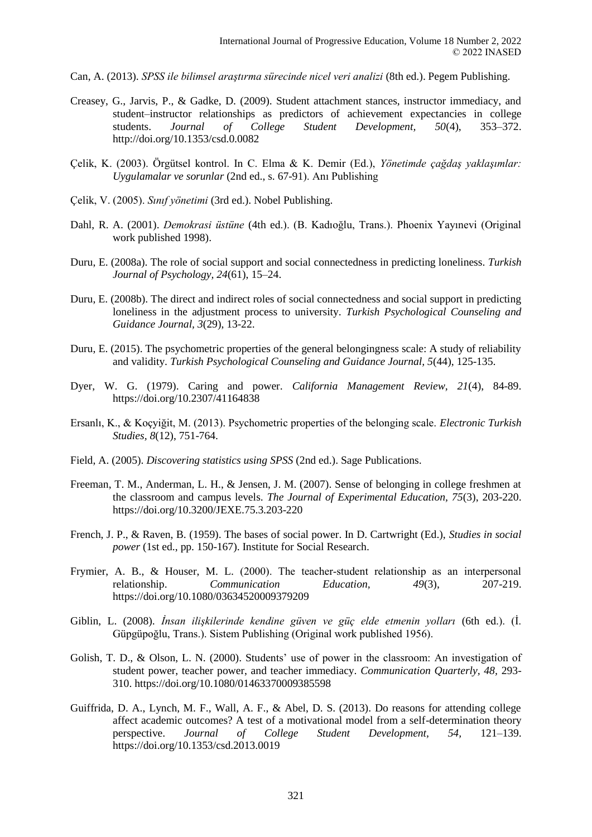- Can, A. (2013). *SPSS ile bilimsel araştırma sürecinde nicel veri analizi* (8th ed.). Pegem Publishing.
- Creasey, G., Jarvis, P., & Gadke, D. (2009). Student attachment stances, instructor immediacy, and student–instructor relationships as predictors of achievement expectancies in college students. *Journal of College Student Development, 50*(4), 353–372. http://doi.org/10.1353/csd.0.0082
- Çelik, K. (2003). Örgütsel kontrol. In C. Elma & K. Demir (Ed.), *Yönetimde çağdaş yaklaşımlar: Uygulamalar ve sorunlar* (2nd ed., s. 67-91). Anı Publishing
- Çelik, V. (2005). *Sınıf yönetimi* (3rd ed.). Nobel Publishing.
- Dahl, R. A. (2001). *Demokrasi üstüne* (4th ed.). (B. Kadıoğlu, Trans.). Phoenix Yayınevi (Original work published 1998).
- Duru, E. (2008a). The role of social support and social connectedness in predicting loneliness. *Turkish Journal of Psychology, 24*(61), 15–24.
- Duru, E. (2008b). The direct and indirect roles of social connectedness and social support in predicting loneliness in the adjustment process to university. *Turkish Psychological Counseling and Guidance Journal, 3*(29), 13-22.
- Duru, E. (2015). The psychometric properties of the general belongingness scale: A study of reliability and validity. *Turkish Psychological Counseling and Guidance Journal, 5*(44), 125-135.
- Dyer, W. G. (1979). Caring and power. *California Management Review, 21*(4), 84-89. https://doi.org/10.2307/41164838
- Ersanlı, K., & Koçyiğit, M. (2013). Psychometric properties of the belonging scale. *Electronic Turkish Studies, 8*(12), 751-764.
- Field, A. (2005). *Discovering statistics using SPSS* (2nd ed.). Sage Publications.
- Freeman, T. M., Anderman, L. H., & Jensen, J. M. (2007). Sense of belonging in college freshmen at the classroom and campus levels. *The Journal of Experimental Education, 75*(3), 203-220. https://doi.org/10.3200/JEXE.75.3.203-220
- French, J. P., & Raven, B. (1959). The bases of social power. In D. Cartwright (Ed.), *Studies in social power* (1st ed., pp. 150-167). Institute for Social Research.
- Frymier, A. B., & Houser, M. L. (2000). The teacher-student relationship as an interpersonal relationship. *Communication Education, 49*(3), 207-219. https://doi.org/10.1080/03634520009379209
- Giblin, L. (2008). *İnsan ilişkilerinde kendine güven ve güç elde etmenin yolları* (6th ed.). (İ. Güpgüpoğlu, Trans.). Sistem Publishing (Original work published 1956).
- Golish, T. D., & Olson, L. N. (2000). Students' use of power in the classroom: An investigation of student power, teacher power, and teacher immediacy. *Communication Quarterly, 48,* 293- 310. https://doi.org/10.1080/01463370009385598
- Guiffrida, D. A., Lynch, M. F., Wall, A. F., & Abel, D. S. (2013). Do reasons for attending college affect academic outcomes? A test of a motivational model from a self-determination theory perspective. *Journal of College Student Development, 54,* 121–139. https://doi.org/10.1353/csd.2013.0019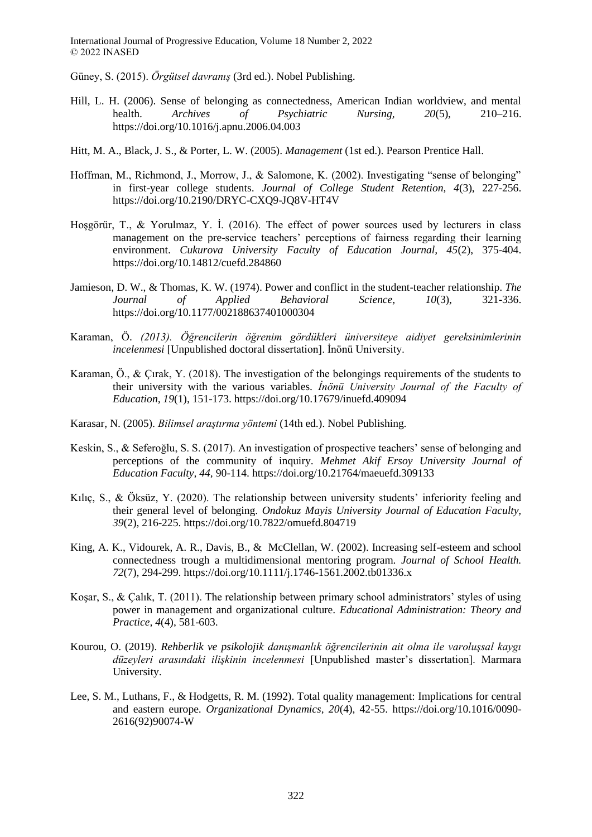Güney, S. (2015). *Örgütsel davranış* (3rd ed.). Nobel Publishing.

- Hill, L. H. (2006). Sense of belonging as connectedness, American Indian worldview, and mental health. *Archives of Psychiatric Nursing, 20*(5), 210–216. https://doi.org/10.1016/j.apnu.2006.04.003
- Hitt, M. A., Black, J. S., & Porter, L. W. (2005). *Management* (1st ed.). Pearson Prentice Hall.
- Hoffman, M., Richmond, J., Morrow, J., & Salomone, K. (2002). Investigating "sense of belonging" in first-year college students. *Journal of College Student Retention, 4*(3), 227-256. https://doi.org/10.2190/DRYC-CXQ9-JQ8V-HT4V
- Hoşgörür, T., & Yorulmaz, Y. İ. (2016). The effect of power sources used by lecturers in class management on the pre-service teachers' perceptions of fairness regarding their learning environment. *Cukurova University Faculty of Education Journal, 45*(2), 375-404. https://doi.org/10.14812/cuefd.284860
- Jamieson, D. W., & Thomas, K. W. (1974). Power and conflict in the student-teacher relationship. *The Journal of Applied Behavioral Science, 10*(3), 321-336. https://doi.org/10.1177/002188637401000304
- Karaman, Ö. *(2013). Öğrencilerin öğrenim gördükleri üniversiteye aidiyet gereksinimlerinin incelenmesi* [Unpublished doctoral dissertation]. İnönü University.
- Karaman, Ö., & Çırak, Y. (2018). The investigation of the belongings requirements of the students to their university with the various variables. *İnönü University Journal of the Faculty of Education, 19*(1), 151-173. https://doi.org/10.17679/inuefd.409094
- Karasar, N. (2005). *Bilimsel araştırma yöntemi* (14th ed.). Nobel Publishing.
- Keskin, S., & Seferoğlu, S. S. (2017). An investigation of prospective teachers' sense of belonging and perceptions of the community of inquiry. *Mehmet Akif Ersoy University Journal of Education Faculty, 44,* 90-114. https://doi.org/10.21764/maeuefd.309133
- Kılıç, S., & Öksüz, Y. (2020). The relationship between university students' inferiority feeling and their general level of belonging. *Ondokuz Mayis University Journal of Education Faculty, 39*(2), 216-225. https://doi.org/10.7822/omuefd.804719
- King, A. K., Vidourek, A. R., Davis, B., & McClellan, W. (2002). Increasing self-esteem and school connectedness trough a multidimensional mentoring program. *Journal of School Health. 72*(7), 294-299. https://doi.org/10.1111/j.1746-1561.2002.tb01336.x
- Koşar, S., & Çalık, T. (2011). The relationship between primary school administrators' styles of using power in management and organizational culture. *Educational Administration: Theory and Practice, 4*(4), 581-603.
- Kourou, O. (2019). *Rehberlik ve psikolojik danışmanlık öğrencilerinin ait olma ile varoluşsal kaygı düzeyleri arasındaki ilişkinin incelenmesi* [Unpublished master's dissertation]. Marmara University.
- Lee, S. M., Luthans, F., & Hodgetts, R. M. (1992). Total quality management: Implications for central and eastern europe. *Organizational Dynamics, 20*(4), 42-55. https://doi.org/10.1016/0090- 2616(92)90074-W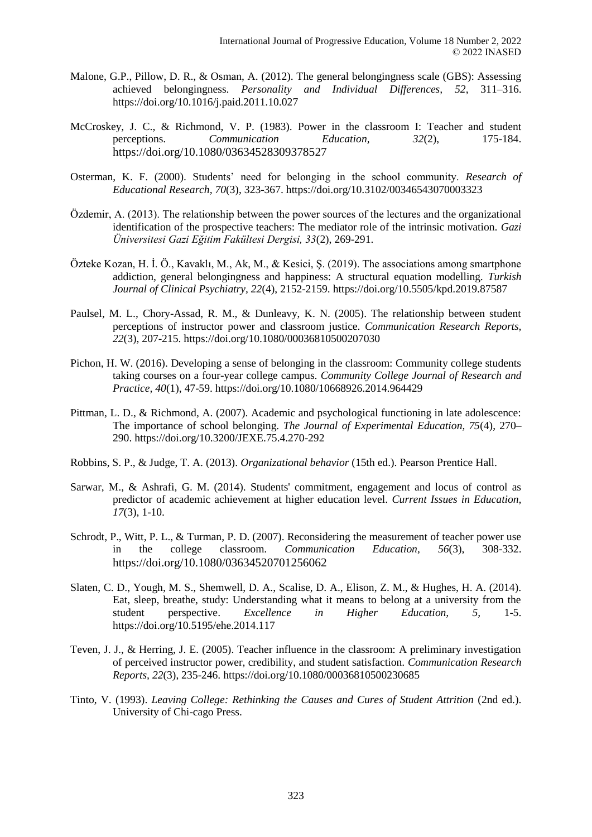- Malone, G.P., Pillow, D. R., & Osman, A. (2012). The general belongingness scale (GBS): Assessing achieved belongingness. *Personality and Individual Differences, 52*, 311–316. https://doi.org/10.1016/j.paid.2011.10.027
- McCroskey, J. C., & Richmond, V. P. (1983). Power in the classroom I: Teacher and student perceptions. *Communication Education, 32*(2), 175-184. https://doi.org/10.1080/03634528309378527
- Osterman, K. F. (2000). Students' need for belonging in the school community. *Research of Educational Research, 70*(3), 323-367. https://doi.org/10.3102/00346543070003323
- Özdemir, A. (2013). The relationship between the power sources of the lectures and the organizational identification of the prospective teachers: The mediator role of the intrinsic motivation. *Gazi Üniversitesi Gazi Eğitim Fakültesi Dergisi, 33*(2), 269-291.
- Özteke Kozan, H. İ. Ö., Kavaklı, M., Ak, M., & Kesici, Ş. (2019). The associations among smartphone addiction, general belongingness and happiness: A structural equation modelling. *Turkish Journal of Clinical Psychiatry, 22*(4), 2152-2159. https://doi.org/10.5505/kpd.2019.87587
- Paulsel, M. L., Chory-Assad, R. M., & Dunleavy, K. N. (2005). The relationship between student perceptions of instructor power and classroom justice. *Communication Research Reports, 22*(3), 207-215. https://doi.org/10.1080/00036810500207030
- Pichon, H. W. (2016). Developing a sense of belonging in the classroom: Community college students taking courses on a four-year college campus. *Community College Journal of Research and Practice, 40*(1), 47-59. https://doi.org/10.1080/10668926.2014.964429
- Pittman, L. D., & Richmond, A. (2007). Academic and psychological functioning in late adolescence: The importance of school belonging. *The Journal of Experimental Education, 75*(4), 270– 290. https://doi.org/10.3200/JEXE.75.4.270-292
- Robbins, S. P., & Judge, T. A. (2013). *Organizational behavior* (15th ed.). Pearson Prentice Hall.
- Sarwar, M., & Ashrafi, G. M. (2014). Students' commitment, engagement and locus of control as predictor of academic achievement at higher education level. *Current Issues in Education, 17*(3), 1-10.
- Schrodt, P., Witt, P. L., & Turman, P. D. (2007). Reconsidering the measurement of teacher power use in the college classroom. *Communication Education, 56*(3), 308-332. https://doi.org/10.1080/03634520701256062
- Slaten, C. D., Yough, M. S., Shemwell, D. A., Scalise, D. A., Elison, Z. M., & Hughes, H. A. (2014). Eat, sleep, breathe, study: Understanding what it means to belong at a university from the student perspective. *Excellence in Higher Education, 5,* 1-5. https://doi.org/10.5195/ehe.2014.117
- Teven, J. J., & Herring, J. E. (2005). Teacher influence in the classroom: A preliminary investigation of perceived instructor power, credibility, and student satisfaction. *Communication Research Reports, 22*(3), 235-246. https://doi.org/10.1080/00036810500230685
- Tinto, V. (1993). *Leaving College: Rethinking the Causes and Cures of Student Attrition* (2nd ed.). University of Chi-cago Press.